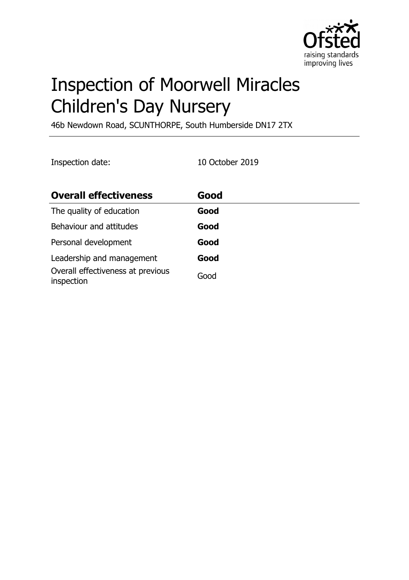

# Inspection of Moorwell Miracles Children's Day Nursery

46b Newdown Road, SCUNTHORPE, South Humberside DN17 2TX

Inspection date: 10 October 2019

| <b>Overall effectiveness</b>                    | Good |
|-------------------------------------------------|------|
| The quality of education                        | Good |
| Behaviour and attitudes                         | Good |
| Personal development                            | Good |
| Leadership and management                       | Good |
| Overall effectiveness at previous<br>inspection | Good |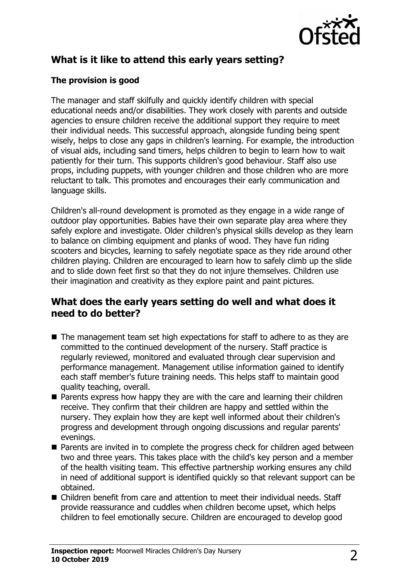

# **What is it like to attend this early years setting?**

### **The provision is good**

The manager and staff skilfully and quickly identify children with special educational needs and/or disabilities. They work closely with parents and outside agencies to ensure children receive the additional support they require to meet their individual needs. This successful approach, alongside funding being spent wisely, helps to close any gaps in children's learning. For example, the introduction of visual aids, including sand timers, helps children to begin to learn how to wait patiently for their turn. This supports children's good behaviour. Staff also use props, including puppets, with younger children and those children who are more reluctant to talk. This promotes and encourages their early communication and language skills.

Children's all-round development is promoted as they engage in a wide range of outdoor play opportunities. Babies have their own separate play area where they safely explore and investigate. Older children's physical skills develop as they learn to balance on climbing equipment and planks of wood. They have fun riding scooters and bicycles, learning to safely negotiate space as they ride around other children playing. Children are encouraged to learn how to safely climb up the slide and to slide down feet first so that they do not injure themselves. Children use their imagination and creativity as they explore paint and paint pictures.

## **What does the early years setting do well and what does it need to do better?**

- $\blacksquare$  The management team set high expectations for staff to adhere to as they are committed to the continued development of the nursery. Staff practice is regularly reviewed, monitored and evaluated through clear supervision and performance management. Management utilise information gained to identify each staff member's future training needs. This helps staff to maintain good quality teaching, overall.
- $\blacksquare$  Parents express how happy they are with the care and learning their children receive. They confirm that their children are happy and settled within the nursery. They explain how they are kept well informed about their children's progress and development through ongoing discussions and regular parents' evenings.
- $\blacksquare$  Parents are invited in to complete the progress check for children aged between two and three years. This takes place with the child's key person and a member of the health visiting team. This effective partnership working ensures any child in need of additional support is identified quickly so that relevant support can be obtained.
- $\blacksquare$  Children benefit from care and attention to meet their individual needs. Staff provide reassurance and cuddles when children become upset, which helps children to feel emotionally secure. Children are encouraged to develop good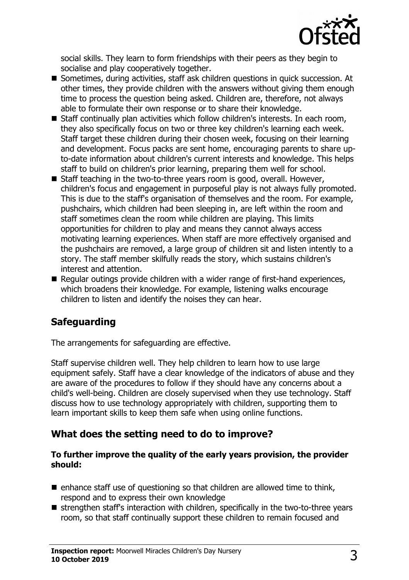

social skills. They learn to form friendships with their peers as they begin to socialise and play cooperatively together.

- Sometimes, during activities, staff ask children questions in quick succession. At other times, they provide children with the answers without giving them enough time to process the question being asked. Children are, therefore, not always able to formulate their own response or to share their knowledge.
- $\blacksquare$  Staff continually plan activities which follow children's interests. In each room, they also specifically focus on two or three key children's learning each week. Staff target these children during their chosen week, focusing on their learning and development. Focus packs are sent home, encouraging parents to share upto-date information about children's current interests and knowledge. This helps staff to build on children's prior learning, preparing them well for school.
- $\blacksquare$  Staff teaching in the two-to-three years room is good, overall. However, children's focus and engagement in purposeful play is not always fully promoted. This is due to the staff's organisation of themselves and the room. For example, pushchairs, which children had been sleeping in, are left within the room and staff sometimes clean the room while children are playing. This limits opportunities for children to play and means they cannot always access motivating learning experiences. When staff are more effectively organised and the pushchairs are removed, a large group of children sit and listen intently to a story. The staff member skilfully reads the story, which sustains children's interest and attention.
- $\blacksquare$  Regular outings provide children with a wider range of first-hand experiences, which broadens their knowledge. For example, listening walks encourage children to listen and identify the noises they can hear.

# **Safeguarding**

The arrangements for safeguarding are effective.

Staff supervise children well. They help children to learn how to use large equipment safely. Staff have a clear knowledge of the indicators of abuse and they are aware of the procedures to follow if they should have any concerns about a child's well-being. Children are closely supervised when they use technology. Staff discuss how to use technology appropriately with children, supporting them to learn important skills to keep them safe when using online functions.

## **What does the setting need to do to improve?**

#### **To further improve the quality of the early years provision, the provider should:**

- $\blacksquare$  enhance staff use of questioning so that children are allowed time to think, respond and to express their own knowledge
- $\blacksquare$  strengthen staff's interaction with children, specifically in the two-to-three years room, so that staff continually support these children to remain focused and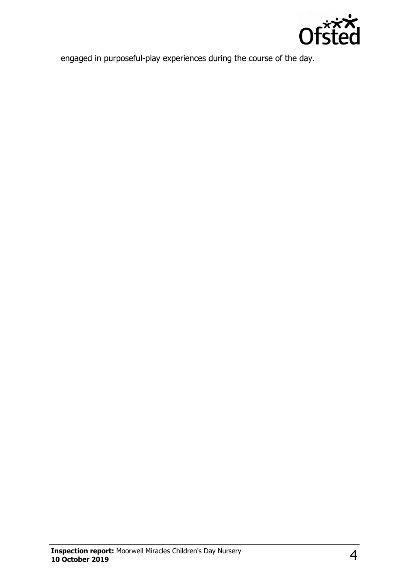

engaged in purposeful-play experiences during the course of the day.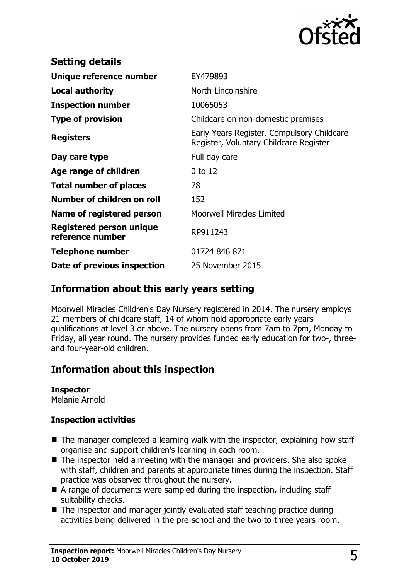

| <b>Setting details</b>                              |                                                                                      |
|-----------------------------------------------------|--------------------------------------------------------------------------------------|
| Unique reference number                             | EY479893                                                                             |
| <b>Local authority</b>                              | North Lincolnshire                                                                   |
| <b>Inspection number</b>                            | 10065053                                                                             |
| <b>Type of provision</b>                            | Childcare on non-domestic premises                                                   |
| <b>Registers</b>                                    | Early Years Register, Compulsory Childcare<br>Register, Voluntary Childcare Register |
| Day care type                                       | Full day care                                                                        |
| Age range of children                               | $0$ to 12                                                                            |
| <b>Total number of places</b>                       | 78                                                                                   |
| Number of children on roll                          | 152                                                                                  |
| Name of registered person                           | <b>Moorwell Miracles Limited</b>                                                     |
| <b>Registered person unique</b><br>reference number | RP911243                                                                             |
| <b>Telephone number</b>                             | 01724 846 871                                                                        |
| Date of previous inspection                         | 25 November 2015                                                                     |

## **Information about this early years setting**

Moorwell Miracles Children's Day Nursery registered in 2014. The nursery employs 21 members of childcare staff, 14 of whom hold appropriate early years qualifications at level 3 or above. The nursery opens from 7am to 7pm, Monday to Friday, all year round. The nursery provides funded early education for two-, threeand four-year-old children.

# **Information about this inspection**

#### **Inspector**

Melanie Arnold

#### **Inspection activities**

- $\blacksquare$  The manager completed a learning walk with the inspector, explaining how staff organise and support children's learning in each room.
- $\blacksquare$  The inspector held a meeting with the manager and providers. She also spoke with staff, children and parents at appropriate times during the inspection. Staff practice was observed throughout the nursery.
- $\blacksquare$  A range of documents were sampled during the inspection, including staff suitability checks.
- $\blacksquare$  The inspector and manager jointly evaluated staff teaching practice during activities being delivered in the pre-school and the two-to-three years room.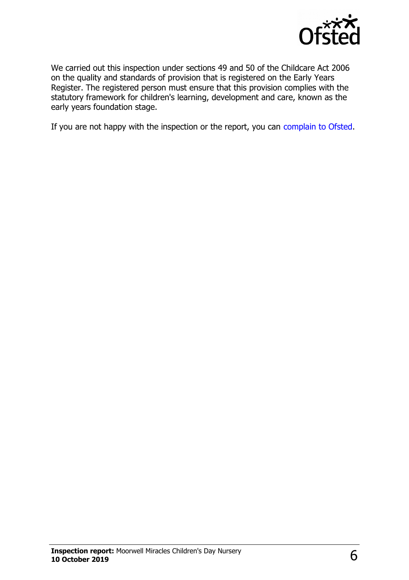

We carried out this inspection under sections 49 and 50 of the Childcare Act 2006 on the quality and standards of provision that is registered on the Early Years Register. The registered person must ensure that this provision complies with the statutory framework for children's learning, development and care, known as the early years foundation stage.

If you are not happy with the inspection or the report, you can [complain to Ofsted.](http://www.gov.uk/complain-ofsted-report)